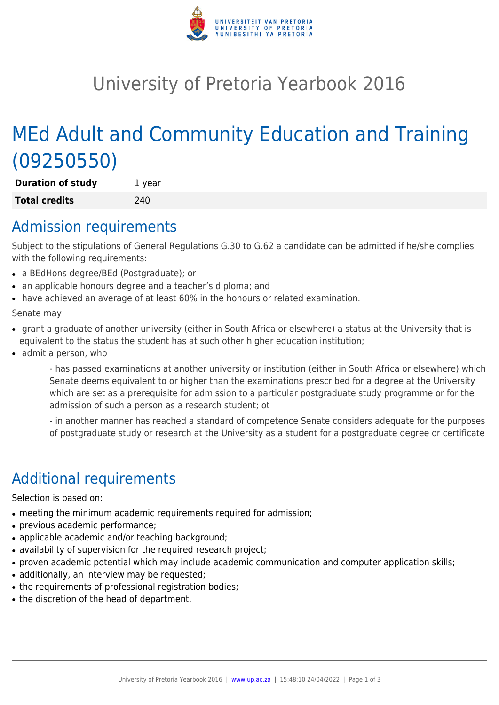

# University of Pretoria Yearbook 2016

# MEd Adult and Community Education and Training (09250550)

**Duration of study** 1 year **Total credits** 240

### Admission requirements

Subject to the stipulations of General Regulations G.30 to G.62 a candidate can be admitted if he/she complies with the following requirements:

- a BEdHons degree/BEd (Postgraduate); or
- an applicable honours degree and a teacher's diploma; and
- have achieved an average of at least 60% in the honours or related examination.

Senate may:

- grant a graduate of another university (either in South Africa or elsewhere) a status at the University that is equivalent to the status the student has at such other higher education institution;
- admit a person, who

- has passed examinations at another university or institution (either in South Africa or elsewhere) which Senate deems equivalent to or higher than the examinations prescribed for a degree at the University which are set as a prerequisite for admission to a particular postgraduate study programme or for the admission of such a person as a research student; ot

- in another manner has reached a standard of competence Senate considers adequate for the purposes of postgraduate study or research at the University as a student for a postgraduate degree or certificate

# Additional requirements

Selection is based on:

- meeting the minimum academic requirements required for admission;
- previous academic performance;
- applicable academic and/or teaching background;
- availability of supervision for the required research project;
- proven academic potential which may include academic communication and computer application skills;
- additionally, an interview may be requested;
- the requirements of professional registration bodies;
- the discretion of the head of department.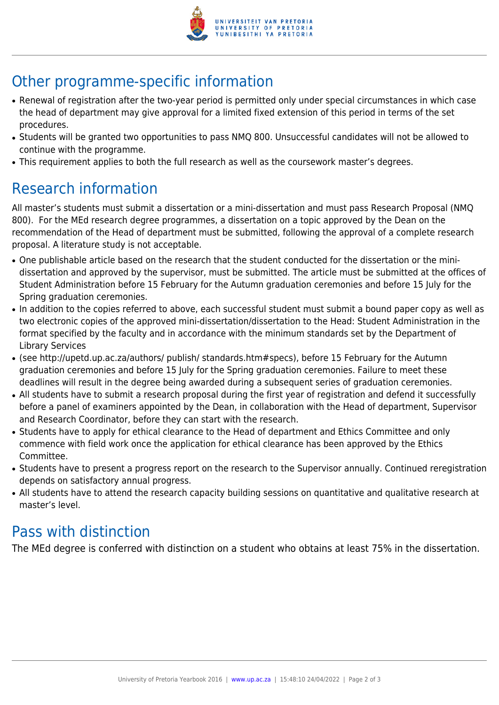

# Other programme-specific information

- Renewal of registration after the two-year period is permitted only under special circumstances in which case the head of department may give approval for a limited fixed extension of this period in terms of the set procedures.
- Students will be granted two opportunities to pass NMQ 800. Unsuccessful candidates will not be allowed to continue with the programme.
- This requirement applies to both the full research as well as the coursework master's degrees.

## Research information

All master's students must submit a dissertation or a mini-dissertation and must pass Research Proposal (NMQ 800). For the MEd research degree programmes, a dissertation on a topic approved by the Dean on the recommendation of the Head of department must be submitted, following the approval of a complete research proposal. A literature study is not acceptable.

- One publishable article based on the research that the student conducted for the dissertation or the minidissertation and approved by the supervisor, must be submitted. The article must be submitted at the offices of Student Administration before 15 February for the Autumn graduation ceremonies and before 15 July for the Spring graduation ceremonies.
- In addition to the copies referred to above, each successful student must submit a bound paper copy as well as two electronic copies of the approved mini-dissertation/dissertation to the Head: Student Administration in the format specified by the faculty and in accordance with the minimum standards set by the Department of Library Services
- (see http://upetd.up.ac.za/authors/ publish/ standards.htm#specs), before 15 February for the Autumn graduation ceremonies and before 15 July for the Spring graduation ceremonies. Failure to meet these deadlines will result in the degree being awarded during a subsequent series of graduation ceremonies.
- All students have to submit a research proposal during the first year of registration and defend it successfully before a panel of examiners appointed by the Dean, in collaboration with the Head of department, Supervisor and Research Coordinator, before they can start with the research.
- Students have to apply for ethical clearance to the Head of department and Ethics Committee and only commence with field work once the application for ethical clearance has been approved by the Ethics Committee.
- Students have to present a progress report on the research to the Supervisor annually. Continued reregistration depends on satisfactory annual progress.
- All students have to attend the research capacity building sessions on quantitative and qualitative research at master's level.

### Pass with distinction

The MEd degree is conferred with distinction on a student who obtains at least 75% in the dissertation.